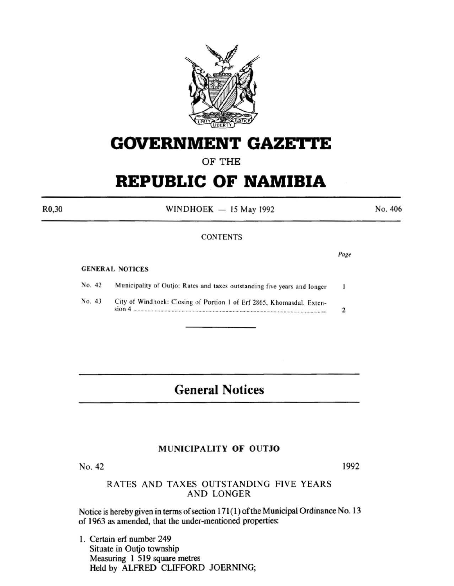

# **GOVERNMENT GAZETTE**

OF THE

## **REPUBLIC OF NAMIBIA**

 $WINDHOEK - 15$  May 1992

No. 406

### **CONTENTS**

#### GENERAL NOTICES

| No. 42 | Municipality of Outjo: Rates and taxes outstanding five years and longer                   |  |
|--------|--------------------------------------------------------------------------------------------|--|
| No. 43 | City of Windhoek: Closing of Portion 1 of Erf 2865, Khomasdal, Exten-<br>sion <sub>4</sub> |  |
|        |                                                                                            |  |

### **General Notices**

#### MUNICIPALITY OF OUTJO

No. 42

#### RATES AND TAXES OUTSTANDING FIVE YEARS AND LONGER

Notice is hereby given in terms of section 171(1) of the Municipal Ordinance No. 13 of 1963 as amended, that the under-mentioned properties:

1. Certain erf number 249 Situate in Outjo township Measuring 1 519 square metres Held by ALFRED CLIFFORD JOERNING;

R0,30

Page

1992